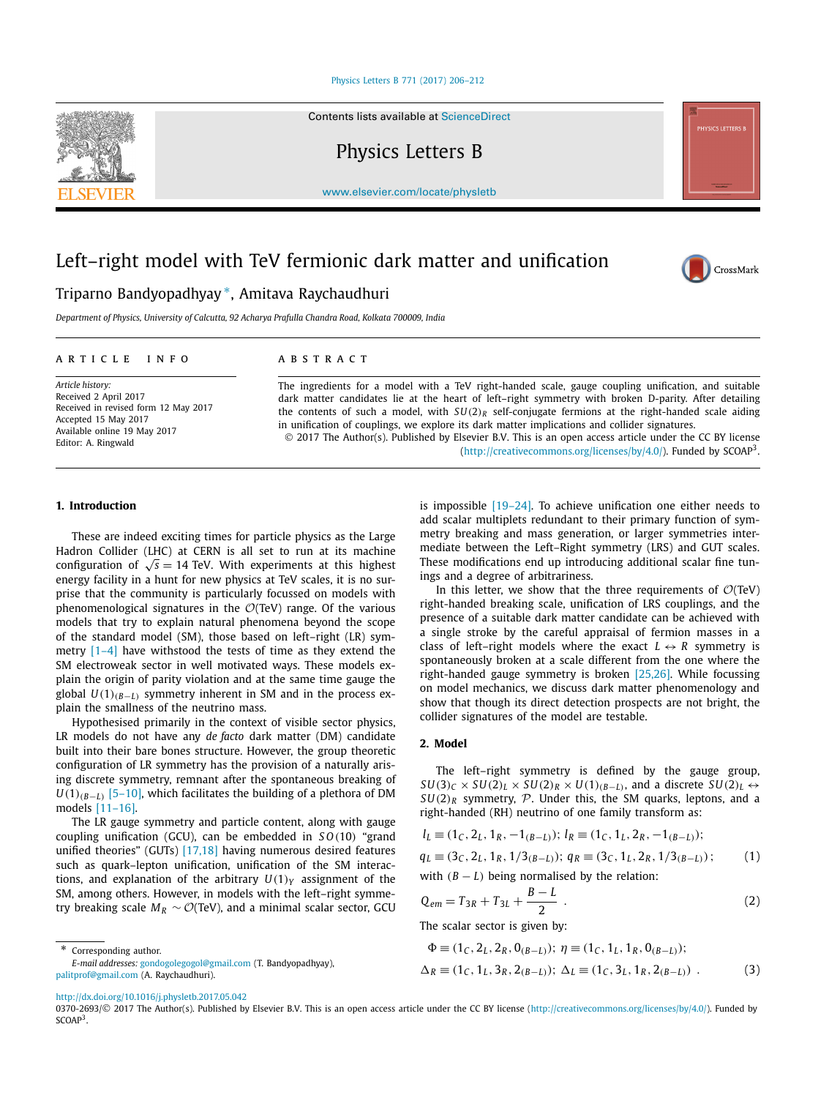#### [Physics Letters B 771 \(2017\) 206–212](http://dx.doi.org/10.1016/j.physletb.2017.05.042)

Contents lists available at [ScienceDirect](http://www.ScienceDirect.com/)

Physics Letters B

[www.elsevier.com/locate/physletb](http://www.elsevier.com/locate/physletb)

# Left–right model with TeV fermionic dark matter and unification

## Triparno Bandyopadhyay ∗, Amitava Raychaudhuri

*Department of Physics, University of Calcutta, 92 Acharya Prafulla Chandra Road, Kolkata 700009, India*

#### A R T I C L E I N F O A B S T R A C T

*Article history:* Received 2 April 2017 Received in revised form 12 May 2017 Accepted 15 May 2017 Available online 19 May 2017 Editor: A. Ringwald

The ingredients for a model with a TeV right-handed scale, gauge coupling unification, and suitable dark matter candidates lie at the heart of left–right symmetry with broken D-parity. After detailing the contents of such a model, with  $SU(2)_R$  self-conjugate fermions at the right-handed scale aiding in unification of couplings, we explore its dark matter implications and collider signatures. © 2017 The Author(s). Published by Elsevier B.V. This is an open access article under the CC BY license

[\(http://creativecommons.org/licenses/by/4.0/\)](http://creativecommons.org/licenses/by/4.0/). Funded by SCOAP3.

#### **1. Introduction**

These are indeed exciting times for particle physics as the Large Hadron Collider (LHC) at CERN is all set to run at its machine configuration of  $\sqrt{s}$  = 14 TeV. With experiments at this highest energy facility in a hunt for new physics at TeV scales, it is no surprise that the community is particularly focussed on models with phenomenological signatures in the  $\mathcal{O}(TeV)$  range. Of the various models that try to explain natural phenomena beyond the scope of the standard model (SM), those based on left–right (LR) symmetry  $[1-4]$  have withstood the tests of time as they extend the SM electroweak sector in well motivated ways. These models explain the origin of parity violation and at the same time gauge the global  $U(1)_{(B-L)}$  symmetry inherent in SM and in the process explain the smallness of the neutrino mass.

Hypothesised primarily in the context of visible sector physics, LR models do not have any *de facto* dark matter (DM) candidate built into their bare bones structure. However, the group theoretic configuration of LR symmetry has the provision of a naturally arising discrete symmetry, remnant after the spontaneous breaking of  $U(1)_{(B-L)}$  [\[5–10\],](#page-4-0) which facilitates the building of a plethora of DM models [\[11–16\].](#page-5-0)

The LR gauge symmetry and particle content, along with gauge coupling unification (GCU), can be embedded in *S O(*10*)* "grand unified theories" (GUTs) [\[17,18\]](#page-5-0) having numerous desired features such as quark–lepton unification, unification of the SM interactions, and explanation of the arbitrary  $U(1)_Y$  assignment of the SM, among others. However, in models with the left–right symmetry breaking scale  $M_R \sim \mathcal{O}(\text{TeV})$ , and a minimal scalar sector, GCU

*E-mail addresses:* [gondogolegogol@gmail.com](mailto:gondogolegogol@gmail.com) (T. Bandyopadhyay), [palitprof@gmail.com](mailto:palitprof@gmail.com) (A. Raychaudhuri).

is impossible [\[19–24\].](#page-5-0) To achieve unification one either needs to add scalar multiplets redundant to their primary function of symmetry breaking and mass generation, or larger symmetries intermediate between the Left–Right symmetry (LRS) and GUT scales. These modifications end up introducing additional scalar fine tunings and a degree of arbitrariness.

In this letter, we show that the three requirements of  $O(TeV)$ right-handed breaking scale, unification of LRS couplings, and the presence of a suitable dark matter candidate can be achieved with a single stroke by the careful appraisal of fermion masses in a class of left–right models where the exact  $L \leftrightarrow R$  symmetry is spontaneously broken at a scale different from the one where the right-handed gauge symmetry is broken [\[25,26\].](#page-5-0) While focussing on model mechanics, we discuss dark matter phenomenology and show that though its direct detection prospects are not bright, the collider signatures of the model are testable.

### **2. Model**

The left–right symmetry is defined by the gauge group,  $SU(3)_C \times SU(2)_L \times SU(2)_R \times U(1)_{(B-L)}$ , and a discrete  $SU(2)_L \leftrightarrow$  $SU(2)_R$  symmetry, P. Under this, the SM quarks, leptons, and a right-handed (RH) neutrino of one family transform as:

$$
l_L \equiv (1_C, 2_L, 1_R, -1_{(B-L)}); l_R \equiv (1_C, 1_L, 2_R, -1_{(B-L)});
$$
  
\n
$$
q_L \equiv (3_C, 2_L, 1_R, 1/3_{(B-L)}); q_R \equiv (3_C, 1_L, 2_R, 1/3_{(B-L)});
$$
\n(1)

with  $(B - L)$  being normalised by the relation:

$$
Q_{em} = T_{3R} + T_{3L} + \frac{B - L}{2} \tag{2}
$$

The scalar sector is given by:

$$
\Phi \equiv (1_C, 2_L, 2_R, 0_{(B-L)}); \ \eta \equiv (1_C, 1_L, 1_R, 0_{(B-L)});
$$
  

$$
\Delta_R \equiv (1_C, 1_L, 3_R, 2_{(B-L)}); \ \Delta_L \equiv (1_C, 3_L, 1_R, 2_{(B-L)}) \ .
$$
 (3)

<http://dx.doi.org/10.1016/j.physletb.2017.05.042>

Corresponding author.

0370-2693/© 2017 The Author(s). Published by Elsevier B.V. This is an open access article under the CC BY license [\(http://creativecommons.org/licenses/by/4.0/](http://creativecommons.org/licenses/by/4.0/)). Funded by SCOAP<sup>3</sup>.



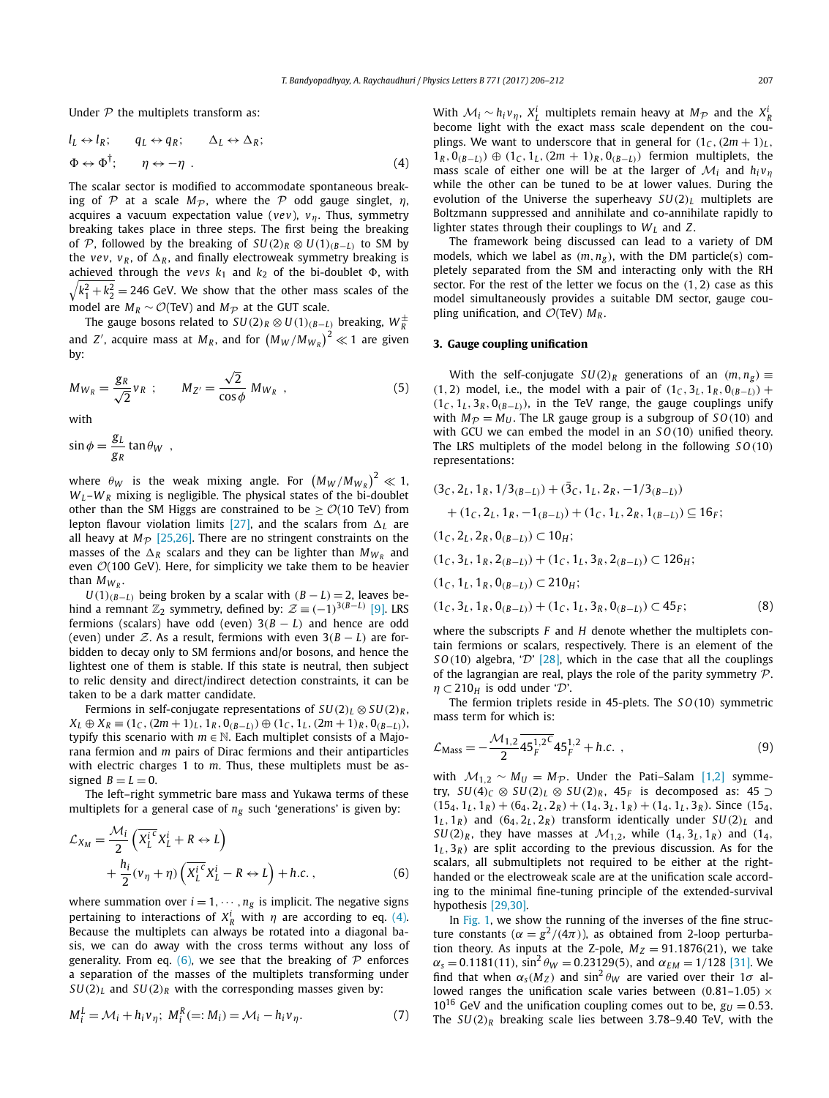Under  $P$  the multiplets transform as:

$$
l_L \leftrightarrow l_R; \qquad q_L \leftrightarrow q_R; \qquad \Delta_L \leftrightarrow \Delta_R; \n\Phi \leftrightarrow \Phi^{\dagger}; \qquad \eta \leftrightarrow -\eta .
$$
\n(4)

The scalar sector is modified to accommodate spontaneous breaking of P at a scale  $M_p$ , where the P odd gauge singlet,  $\eta$ , acquires a vacuum expectation value (*vev*), *vη*. Thus, symmetry breaking takes place in three steps. The first being the breaking of P, followed by the breaking of  $SU(2)_R \otimes U(1)_{(R-L)}$  to SM by the *vev*,  $v_R$ , of  $\Delta_R$ , and finally electroweak symmetry breaking is achieved through the  $vevs$   $k_1$  and  $k_2$  of the bi-doublet  $\Phi$ , with  $\sqrt{k_1^2 + k_2^2} = 246$  GeV. We show that the other mass scales of the model are  $M_R \sim \mathcal{O}(\text{TeV})$  and  $M_{\mathcal{P}}$  at the GUT scale.

The gauge bosons related to  $SU(2)_R \otimes U(1)_{(B - \underline{L})}$  breaking,  $W_R^\pm$ and *Z'*, acquire mass at  $M_R$ , and for  $\left(M_W/M_{W_R}\right)^2 \ll 1$  are given by:

$$
M_{W_R} = \frac{g_R}{\sqrt{2}} v_R \ ; \qquad M_{Z'} = \frac{\sqrt{2}}{\cos \phi} M_{W_R} \ , \tag{5}
$$

with

$$
\sin \phi = \frac{g_L}{g_R} \tan \theta_W ,
$$

where  $\theta_W$  is the weak mixing angle. For  $\left(M_W/M_{W_R}\right)^2 \ll 1$ ,  $W_L-W_R$  mixing is negligible. The physical states of the bi-doublet other than the SM Higgs are constrained to be  $> O(10 \text{ TeV})$  from lepton flavour violation limits [\[27\],](#page-5-0) and the scalars from  $\Delta_l$  are all heavy at  $M_p$  [\[25,26\].](#page-5-0) There are no stringent constraints on the masses of the  $\Delta_R$  scalars and they can be lighter than  $M_{W_R}$  and even  $O(100 \text{ GeV})$ . Here, for simplicity we take them to be heavier than  $M_{W_R}$ .

*U*(1)<sub>(*B*−*L*)</sub> being broken by a scalar with  $(B - L) = 2$ , leaves behind a remnant  $\mathbb{Z}_2$  symmetry, defined by:  $\mathcal{Z} \equiv (-1)^{3(B-L)}$  [\[9\].](#page-5-0) LRS fermions (scalars) have odd (even)  $3(B - L)$  and hence are odd (even) under Z. As <sup>a</sup> result, fermions with even <sup>3</sup>*(<sup>B</sup>* − *<sup>L</sup>)* are forbidden to decay only to SM fermions and/or bosons, and hence the lightest one of them is stable. If this state is neutral, then subject to relic density and direct/indirect detection constraints, it can be taken to be a dark matter candidate.

Fermions in self-conjugate representations of  $SU(2)_L \otimes SU(2)_R$ ,  $X_L \oplus X_R \equiv (1_C, (2m+1)_L, 1_R, 0_{(B-L)}) \oplus (1_C, 1_L, (2m+1)_R, 0_{(B-L)}),$ typify this scenario with  $m \in \mathbb{N}$ . Each multiplet consists of a Majorana fermion and *m* pairs of Dirac fermions and their antiparticles with electric charges 1 to *m*. Thus, these multiplets must be assigned  $B = L = 0$ .

The left–right symmetric bare mass and Yukawa terms of these multiplets for a general case of  $n<sub>g</sub>$  such 'generations' is given by:

$$
\mathcal{L}_{X_M} = \frac{\mathcal{M}_i}{2} \left( \overline{X_L^{i}}^c X_L^i + R \leftrightarrow L \right) \n+ \frac{h_i}{2} (\nu_\eta + \eta) \left( \overline{X_L^{i}}^c X_L^i - R \leftrightarrow L \right) + h.c.,
$$
\n(6)

where summation over  $i = 1, \dots, n_g$  is implicit. The negative signs pertaining to interactions of  $X_R^i$  with  $\eta$  are according to eq. (4). Because the multiplets can always be rotated into a diagonal basis, we can do away with the cross terms without any loss of generality. From eq. (6), we see that the breaking of  $\mathcal P$  enforces a separation of the masses of the multiplets transforming under  $SU(2)_L$  and  $SU(2)_R$  with the corresponding masses given by:

$$
M_i^L = \mathcal{M}_i + h_i v_\eta; \ M_i^R (=: M_i) = \mathcal{M}_i - h_i v_\eta. \tag{7}
$$

With  $\mathcal{M}_i \sim h_i v_{\eta}$ ,  $X_L^i$  multiplets remain heavy at  $M_{\mathcal{P}}$  and the  $X_R^i$ become light with the exact mass scale dependent on the couplings. We want to underscore that in general for  $(1_C, (2m + 1)_L,$  $1_R$ ,  $0_{(B−L)}$ ) ⊕  $(1_C, 1_L, (2m + 1)_R, 0_{(B−L)}$  fermion multiplets, the mass scale of either one will be at the larger of  $\mathcal{M}_i$  and  $h_i v_n$ while the other can be tuned to be at lower values. During the evolution of the Universe the superheavy  $SU(2)_L$  multiplets are Boltzmann suppressed and annihilate and co-annihilate rapidly to lighter states through their couplings to  $W_L$  and Z.

The framework being discussed can lead to a variety of DM models, which we label as  $(m, n_g)$ , with the DM particle(s) completely separated from the SM and interacting only with the RH sector. For the rest of the letter we focus on the *(*1*,* 2*)* case as this model simultaneously provides a suitable DM sector, gauge coupling unification, and  $\mathcal{O}(TeV)$   $M_R$ .

#### **3. Gauge coupling unification**

With the self-conjugate  $SU(2)_R$  generations of an  $(m, n_g) \equiv$ *(***1**, 2) model, i.e., the model with a pair of  $(1_C, 3_L, 1_R, 0_{(B-L)})$  +  $(1_C, 1_L, 3_R, 0_{(B-L)})$ , in the TeV range, the gauge couplings unify with  $M_{\mathcal{P}} = M_U$ . The LR gauge group is a subgroup of  $SO(10)$  and with GCU we can embed the model in an *S O(*10*)* unified theory. The LRS multiplets of the model belong in the following *S O(*10*)* representations:

$$
(3C, 2L, 1R, 1/3(B-L)) + (3C, 1L, 2R, -1/3(B-L))+ (1C, 2L, 1R, -1(B-L)) + (1C, 1L, 2R, 1(B-L))  $\subseteq$  16<sub>F</sub>;  
(1<sub>C</sub>, 2<sub>L</sub>, 2<sub>R</sub>, 0<sub>(B-L)</sub>)  $\subset$  10<sub>H</sub>;  
(1<sub>C</sub>, 3<sub>L</sub>, 1<sub>R</sub>, 2<sub>(B-L)</sub>) + (1<sub>C</sub>, 1<sub>L</sub>, 3<sub>R</sub>, 2<sub>(B-L)</sub>)  $\subset$  126<sub>H</sub>;  
(1<sub>C</sub>, 1<sub>L</sub>, 1<sub>R</sub>, 0<sub>(B-L)</sub>)  $\subset$  210<sub>H</sub>;  
(1<sub>C</sub>, 3<sub>L</sub>, 1<sub>R</sub>, 0<sub>(B-L)</sub>)  $\subset$  11<sub>C</sub>, 1<sub>L</sub>, 3<sub>R</sub>, 0<sub>(B-L)</sub>)  $\subset$  45<sub>F</sub>; (8)
$$

where the subscripts *F* and *H* denote whether the multiplets contain fermions or scalars, respectively. There is an element of the *SO*(10) algebra, ' $D'$  [\[28\],](#page-5-0) which in the case that all the couplings of the lagrangian are real, plays the role of the parity symmetry  $P$ .  $\eta \subset 210$ *H* is odd under 'D'.

The fermion triplets reside in 45-plets. The *S O(*10*)* symmetric mass term for which is:

$$
\mathcal{L}_{\text{Mass}} = -\frac{\mathcal{M}_{1,2}}{2} \overline{45_F^{1,2}} \mathcal{L}_{\text{F}}^{1,2} + h.c. , \qquad (9)
$$

with  $M_{1,2} \sim M_U = M_{\mathcal{P}}$ . Under the Pati–Salam [\[1,2\]](#page-4-0) symmetry, *SU*(4)<sup>*C*</sup> ⊗ *SU*(2)<sup>*L*</sup> ⊗ *SU*(2)<sup>*R*</sup>, 45<sup>*F*</sup> is decomposed as: 45 ⊃  $(15_4, 1_L, 1_R) + (6_4, 2_L, 2_R) + (1_4, 3_L, 1_R) + (1_4, 1_L, 3_R)$ . Since  $(15_4, 1_R)$  $1_L$ ,  $1_R$ ) and  $(64, 2_L, 2_R)$  transform identically under  $SU(2)_L$  and *SU*(2)<sub>*R*</sub>, they have masses at  $M_{1,2}$ , while  $(1_4, 3_L, 1_R)$  and  $(1_4, 1_4, 1_5)$  $1_L$ ,  $3_R$ ) are split according to the previous discussion. As for the scalars, all submultiplets not required to be either at the righthanded or the electroweak scale are at the unification scale according to the minimal fine-tuning principle of the extended-survival hypothesis [\[29,30\].](#page-5-0)

In [Fig. 1,](#page-2-0) we show the running of the inverses of the fine structure constants ( $\alpha = g^2/(4\pi)$ ), as obtained from 2-loop perturbation theory. As inputs at the Z-pole,  $M_Z = 91.1876(21)$ , we take  $\alpha_s = 0.1181(11)$ , sin<sup>2</sup>  $\theta_W = 0.23129(5)$ , and  $\alpha_{EM} = 1/128$  [\[31\].](#page-5-0) We find that when  $\alpha_s(M_Z)$  and  $\sin^2 \theta_W$  are varied over their 1 $\sigma$  allowed ranges the unification scale varies between *(*0*.*81–1*.*05*)* ×  $10^{16}$  GeV and the unification coupling comes out to be,  $g_U = 0.53$ . The  $SU(2)_R$  breaking scale lies between 3.78–9.40 TeV, with the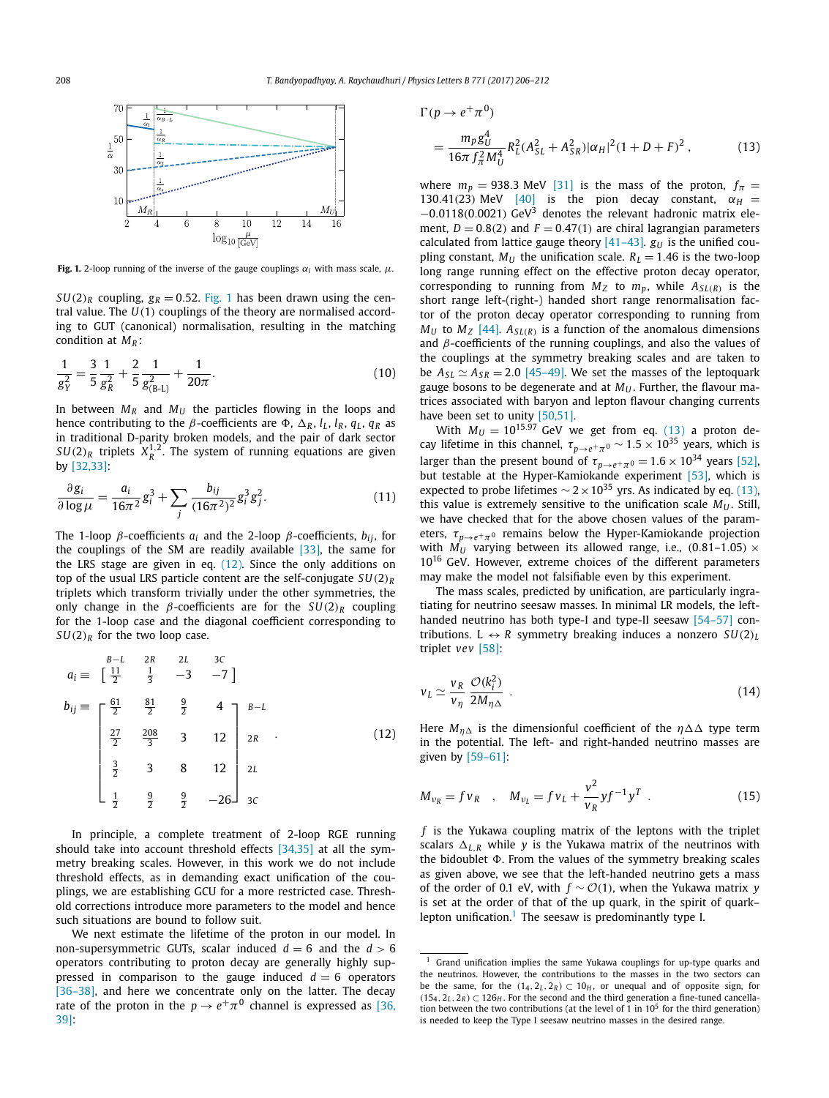<span id="page-2-0"></span>

**Fig. 1.** 2-loop running of the inverse of the gauge couplings  $\alpha_i$  with mass scale,  $\mu$ .

 $SU(2)_R$  coupling,  $g_R = 0.52$ . Fig. 1 has been drawn using the central value. The *U(*1*)* couplings of the theory are normalised according to GUT (canonical) normalisation, resulting in the matching condition at *MR* :

$$
\frac{1}{g_Y^2} = \frac{3}{5} \frac{1}{g_R^2} + \frac{2}{5} \frac{1}{g_{(B-L)}^2} + \frac{1}{20\pi}.
$$
 (10)

In between  $M_R$  and  $M_U$  the particles flowing in the loops and hence contributing to the *β*-coefficients are Φ, Δ<sub>R</sub>, l<sub>L</sub>, l<sub>R</sub>, q<sub>L</sub>, q<sub>R</sub> as in traditional D-parity broken models, and the pair of dark sector  $SU(2)_R$  triplets  $X_R^{1,2}$ . The system of running equations are given by [\[32,33\]:](#page-5-0)

$$
\frac{\partial g_i}{\partial \log \mu} = \frac{a_i}{16\pi^2} g_i^3 + \sum_j \frac{b_{ij}}{(16\pi^2)^2} g_i^3 g_j^2.
$$
 (11)

The 1-loop  $\beta$ -coefficients  $a_i$  and the 2-loop  $\beta$ -coefficients,  $b_{ij}$ , for the couplings of the SM are readily available  $[33]$ , the same for the LRS stage are given in eq. (12). Since the only additions on top of the usual LRS particle content are the self-conjugate *SU(*2*)<sup>R</sup>* triplets which transform trivially under the other symmetries, the only change in the  $\beta$ -coefficients are for the  $SU(2)_R$  coupling for the 1-loop case and the diagonal coefficient corresponding to  $SU(2)_R$  for the two loop case.

$$
a_{i} \equiv \begin{bmatrix} \frac{B-L}{2} & \frac{2R}{3} & \frac{2L}{3} & \frac{3C}{3} \\ \frac{11}{2} & \frac{11}{3} & -3 & -7 \end{bmatrix}
$$
  
\n
$$
b_{ij} \equiv \begin{bmatrix} \frac{61}{2} & \frac{81}{2} & \frac{9}{2} & 4 \\ \frac{27}{2} & \frac{208}{3} & 3 & 12 \\ \frac{3}{2} & 3 & 8 & 12 \\ \frac{1}{2} & \frac{9}{2} & \frac{9}{2} & -26 \end{bmatrix} \begin{bmatrix} B-L \\ 2R \\ 2L \\ 3C \end{bmatrix}
$$
 (12)

In principle, a complete treatment of 2-loop RGE running should take into account threshold effects [\[34,35\]](#page-5-0) at all the symmetry breaking scales. However, in this work we do not include threshold effects, as in demanding exact unification of the couplings, we are establishing GCU for a more restricted case. Threshold corrections introduce more parameters to the model and hence such situations are bound to follow suit.

We next estimate the lifetime of the proton in our model. In non-supersymmetric GUTs, scalar induced  $d = 6$  and the  $d > 6$ operators contributing to proton decay are generally highly suppressed in comparison to the gauge induced  $d = 6$  operators [36-38], and here we concentrate only on the latter. The decay rate of the proton in the  $p \rightarrow e^+ \pi^0$  channel is expressed as [\[36,](#page-5-0) [39\]:](#page-5-0)

$$
\Gamma(p \to e^+ \pi^0)
$$
  
= 
$$
\frac{m_p g_U^4}{16\pi f_\pi^2 M_U^4} R_L^2 (A_{SL}^2 + A_{SR}^2) |\alpha_H|^2 (1 + D + F)^2 ,
$$
 (13)

where  $m_p = 938.3$  MeV [\[31\]](#page-5-0) is the mass of the proton,  $f_\pi =$ 130.41(23) MeV [\[40\]](#page-5-0) is the pion decay constant,  $\alpha_H =$ <sup>−</sup>0*.*0118*(*0*.*0021*)* GeV<sup>3</sup> denotes the relevant hadronic matrix element,  $D = 0.8(2)$  and  $F = 0.47(1)$  are chiral lagrangian parameters calculated from lattice gauge theory  $[41-43]$ .  $g_U$  is the unified coupling constant,  $M_U$  the unification scale.  $R_L = 1.46$  is the two-loop long range running effect on the effective proton decay operator, corresponding to running from  $M_Z$  to  $m_p$ , while  $A_{SL(R)}$  is the short range left-(right-) handed short range renormalisation factor of the proton decay operator corresponding to running from  $M_U$  to  $M_Z$  [\[44\].](#page-5-0)  $A_{SL(R)}$  is a function of the anomalous dimensions and *β*-coefficients of the running couplings, and also the values of the couplings at the symmetry breaking scales and are taken to be  $A_{SL} \simeq A_{SR} = 2.0$  [\[45–49\].](#page-5-0) We set the masses of the leptoquark gauge bosons to be degenerate and at  $M_{U}$ . Further, the flavour matrices associated with baryon and lepton flavour changing currents have been set to unity [\[50,51\].](#page-5-0)

With  $M_U = 10^{15.97}$  GeV we get from eq. (13) a proton decay lifetime in this channel,  $\tau_{p\rightarrow e^+\pi^0} \sim 1.5 \times 10^{35}$  years, which is larger than the present bound of  $\tau_{p\rightarrow e^+\pi^0} = 1.6 \times 10^{34}$  years [\[52\],](#page-5-0) but testable at the Hyper-Kamiokande experiment [\[53\],](#page-5-0) which is expected to probe lifetimes  $\sim 2 \times 10^{35}$  yrs. As indicated by eq. (13), this value is extremely sensitive to the unification scale  $M_{U}$ . Still, we have checked that for the above chosen values of the parameters,  $\tau_{p\rightarrow e^+\pi^0}$  remains below the Hyper-Kamiokande projection with  $M_U$  varying between its allowed range, i.e.,  $(0.81-1.05) \times$  $10^{16}$  GeV. However, extreme choices of the different parameters may make the model not falsifiable even by this experiment.

The mass scales, predicted by unification, are particularly ingratiating for neutrino seesaw masses. In minimal LR models, the left-handed neutrino has both type-I and type-II seesaw [\[54–57\]](#page-5-0) contributions.  $L \leftrightarrow R$  symmetry breaking induces a nonzero  $SU(2)_L$ triplet *vev* [\[58\]:](#page-5-0)

$$
v_L \simeq \frac{v_R}{v_\eta} \frac{\mathcal{O}(k_i^2)}{2M_{\eta\Delta}} \tag{14}
$$

Here  $M_{\eta\Delta}$  is the dimensionful coefficient of the  $\eta\Delta\Delta$  type term in the potential. The left- and right-handed neutrino masses are given by [\[59–61\]:](#page-5-0)

$$
M_{\nu_R} = f \nu_R \quad , \quad M_{\nu_L} = f \nu_L + \frac{v^2}{v_R} y f^{-1} y^T \quad . \tag{15}
$$

*f* is the Yukawa coupling matrix of the leptons with the triplet scalars  $\Delta_{L,R}$  while *y* is the Yukawa matrix of the neutrinos with the bidoublet  $\Phi$ . From the values of the symmetry breaking scales as given above, we see that the left-handed neutrino gets a mass of the order of 0.1 eV, with  $f ∼ O(1)$ , when the Yukawa matrix *y* is set at the order of that of the up quark, in the spirit of quark– lepton unification.<sup>1</sup> The seesaw is predominantly type I.

<sup>&</sup>lt;sup>1</sup> Grand unification implies the same Yukawa couplings for up-type quarks and the neutrinos. However, the contributions to the masses in the two sectors can be the same, for the  $(1_4, 2_L, 2_R) \subset 10_H$ , or unequal and of opposite sign, for  $(15<sub>4</sub>, 2<sub>L</sub>, 2<sub>R</sub>) \subset 126<sub>H</sub>$ . For the second and the third generation a fine-tuned cancellation between the two contributions (at the level of 1 in  $10^5$  for the third generation) is needed to keep the Type I seesaw neutrino masses in the desired range.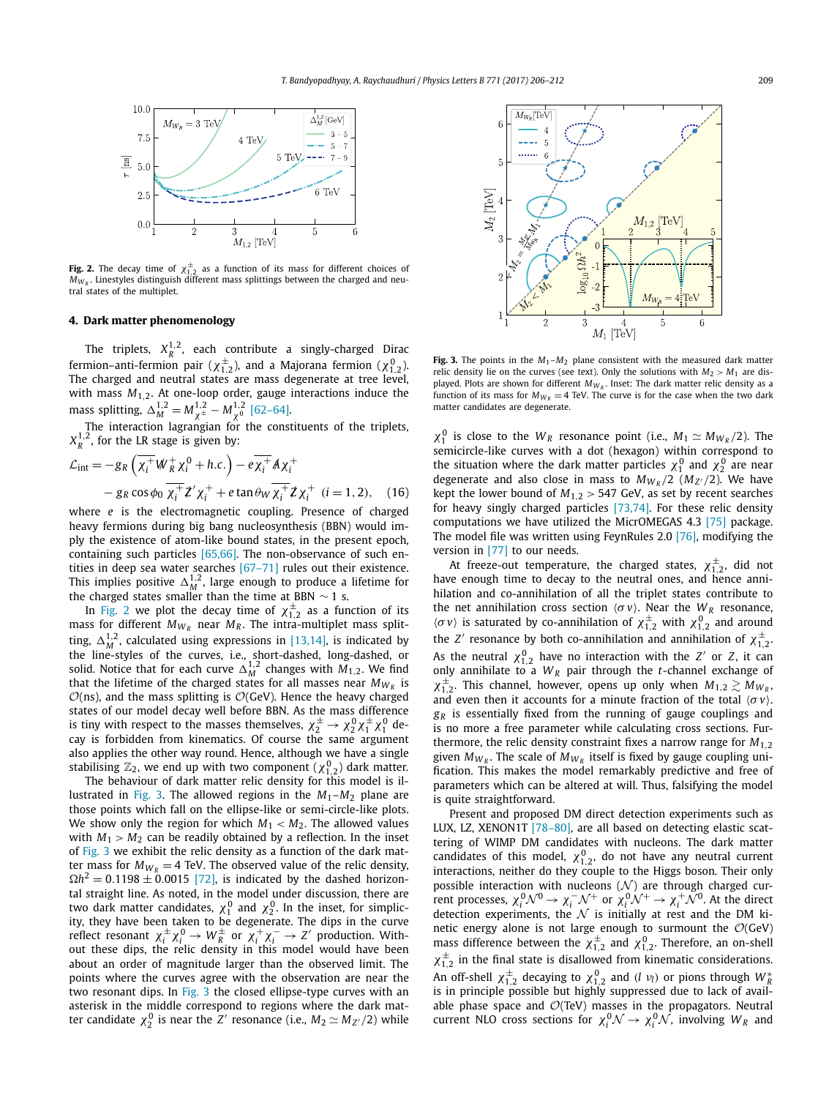<span id="page-3-0"></span>

**Fig. 2.** The decay time of  $\chi_{1,2}^{\pm}$  as a function of its mass for different choices of  $M_{W_R}$ . Linestyles distinguish different mass splittings between the charged and neutral states of the multiplet.

#### **4. Dark matter phenomenology**

The triplets,  $X_R^{1,2}$ , each contribute a singly-charged Dirac fermion–anti-fermion pair ( $\chi^{\pm}_{1,2}$ ), and a Majorana fermion ( $\chi^0_{1,2}$ ).<br>The charged and neutral states are mass degenerate at tree level, with mass *M*1*,*2. At one-loop order, gauge interactions induce the mass splitting,  $\Delta_M^{1,2} = M_{\chi^\pm}^{1,2} - M_{\chi^0}^{1,2}$  [\[62–64\].](#page-5-0)

The interaction lagrangian for the constituents of the triplets,  $X_R^{1,2}$ , for the LR stage is given by:

$$
\mathcal{L}_{int} = -g_R \left( \overline{\chi_i^+} W_R^+ \chi_i^0 + h.c. \right) - e \overline{\chi_i^+} \mathcal{A} \chi_i^+
$$
  
-  $g_R \cos \phi_0 \overline{\chi_i^+} \mathcal{Z}' \chi_i^+ + e \tan \theta_W \overline{\chi_i^+} \mathcal{Z} \chi_i^+$  (i = 1, 2), (16)

where *e* is the electromagnetic coupling. Presence of charged heavy fermions during big bang nucleosynthesis (BBN) would imply the existence of atom-like bound states, in the present epoch, containing such particles [\[65,66\].](#page-5-0) The non-observance of such entities in deep sea water searches [\[67–71\]](#page-5-0) rules out their existence. This implies positive  $\Delta_M^{1,2}$ , large enough to produce a lifetime for the charged states smaller than the time at BBN  $\sim$  1 s.

In Fig. 2 we plot the decay time of  $\chi_{1,2}^{\pm}$  as a function of its mass for different  $M_{W_R}$  near  $M_R$ . The intra-multiplet mass splitting,  $\Delta_M^{1,2}$ , calculated using expressions in [\[13,14\],](#page-5-0) is indicated by the line-styles of the curves, i.e., short-dashed, long-dashed, or solid. Notice that for each curve  $\Delta_M^{1,2}$  changes with  $M_{1,2}$ . We find that the lifetime of the charged states for all masses near  $M_{W_R}$  is  $O(ns)$ , and the mass splitting is  $O(GeV)$ . Hence the heavy charged states of our model decay well before BBN. As the mass difference is tiny with respect to the masses themselves,  $\chi_2^{\pm} \to \chi_2^0 \chi_1^{\pm} \chi_1^0$  decay is forbidden from kinematics. Of course the same argument also applies the other way round. Hence, although we have a single stabilising  $\mathbb{Z}_2$ , we end up with two component  $(\chi_{1,2}^0)$  dark matter.

The behaviour of dark matter relic density for this model is illustrated in Fig. 3. The allowed regions in the  $M_1-M_2$  plane are those points which fall on the ellipse-like or semi-circle-like plots. We show only the region for which  $M_1 < M_2$ . The allowed values with  $M_1 > M_2$  can be readily obtained by a reflection. In the inset of Fig. 3 we exhibit the relic density as a function of the dark matter mass for  $M_{W_R} = 4$  TeV. The observed value of the relic density,  $\Omega h^2 = 0.1198 \pm 0.0015$  [\[72\],](#page-5-0) is indicated by the dashed horizontal straight line. As noted, in the model under discussion, there are two dark matter candidates,  $\chi_1^0$  and  $\chi_2^0$ . In the inset, for simplic-<br>ity, they have been taken to be degenerate. The dips in the curve reflect resonant  $\chi_i^{\pm} \chi_i^0 \to W_R^{\pm}$  or  $\chi_i^+ \chi_i^- \to Z'$  production. Without these dips, the relic density in this model would have been about an order of magnitude larger than the observed limit. The points where the curves agree with the observation are near the two resonant dips. In Fig. 3 the closed ellipse-type curves with an asterisk in the middle correspond to regions where the dark matter candidate  $\chi_2^0$  is near the *Z'* resonance (i.e.,  $M_2 \simeq M_{Z'}/2$ ) while



**Fig. 3.** The points in the *M*1–*M*<sup>2</sup> plane consistent with the measured dark matter relic density lie on the curves (see text). Only the solutions with  $M_2 > M_1$  are displayed. Plots are shown for different  $M_{W_R}$ . Inset: The dark matter relic density as a function of its mass for  $M_{W_R} = 4$  TeV. The curve is for the case when the two dark matter candidates are degenerate.

 $\chi_1^0$  is close to the  $W_R$  resonance point (i.e.,  $M_1 \simeq M_{W_R}/2$ ). The semicircle-like curves with a dot (hexagon) within correspond to the situation where the dark matter particles  $\chi_1^0$  and  $\chi_2^0$  are near degenerate and also close in mass to  $M_{W_R}/2$  ( $M_{Z'}/2$ ). We have kept the lower bound of  $M_{1,2}$   $>$  547 GeV, as set by recent searches for heavy singly charged particles [\[73,74\].](#page-5-0) For these relic density computations we have utilized the MicrOMEGAS 4.3 [\[75\]](#page-5-0) package. The model file was written using FeynRules 2.0 [\[76\],](#page-6-0) modifying the version in [\[77\]](#page-6-0) to our needs.

At freeze-out temperature, the charged states,  $\chi_{1,2}^{\pm}$ , did not have enough time to decay to the neutral ones, and hence annihilation and co-annihilation of all the triplet states contribute to the net annihilation cross section  $\langle \sigma v \rangle$ . Near the  $W_R$  resonance,  $\langle \sigma v \rangle$  is saturated by co-annihilation of  $\chi_{1,2}^{\pm}$  with  $\chi_{1,2}^{0}$  and around the *Z'* resonance by both co-annihilation and annihilation of  $\chi_{1,2}^{\pm}$ . As the neutral  $\chi_{1,2}^0$  have no interaction with the *Z'* or *Z*, it can only annihilate to a  $W_R$  pair through the *t*-channel exchange of  $\chi_{1,2}^{\pm}$ . This channel, however, opens up only when  $M_{1,2} \gtrsim M_{W_R}$ , and even then it accounts for a minute fraction of the total  $\langle \sigma v \rangle$ . *gR* is essentially fixed from the running of gauge couplings and is no more a free parameter while calculating cross sections. Furthermore, the relic density constraint fixes a narrow range for *M*1*,*<sup>2</sup> given  $M_{W_R}$ . The scale of  $M_{W_R}$  itself is fixed by gauge coupling unification. This makes the model remarkably predictive and free of parameters which can be altered at will. Thus, falsifying the model is quite straightforward.

Present and proposed DM direct detection experiments such as LUX, LZ, XENON1T [\[78–80\],](#page-6-0) are all based on detecting elastic scattering of WIMP DM candidates with nucleons. The dark matter candidates of this model,  $\chi_{1,2}^0$ , do not have any neutral current interactions, neither do they couple to the Higgs boson. Their only possible interaction with nucleons ( $\mathcal{N}$ ) are through charged cur-<br>rent processes,  $\chi_i^0 \mathcal{N}^0 \to \chi_i^- \mathcal{N}^+$  or  $\chi_i^0 \mathcal{N}^+ \to \chi_i^+ \mathcal{N}^0$ . At the direct detection experiments, the  $\mathcal N$  is initially at rest and the DM kinetic energy alone is not large enough to surmount the  $\mathcal{O}(\text{GeV})$  mass difference between the  $\chi_{1,2}^{\pm}$  and  $\chi_{1,2}^{0}$ . Therefore, an on-shell  $\chi_{1,2}^{\pm}$  in the final state is disallowed from kinematic considerations. An off-shell  $\chi_{1,2}^{\pm}$  decaying to  $\chi_{1,2}^{0}$  and *(l v<sub>l</sub>*) or pions through  $W_{R}^{*}$  is in principle possible but highly suppressed due to lack of available phase space and *O*(TeV) masses in the propagators. Neutral current NLO cross sections for *χ*<sub>0</sub><sup>0</sup>*N* → *χ*<sub>0</sub><sup>0</sup>*N*, involving *W<sub>R</sub>* and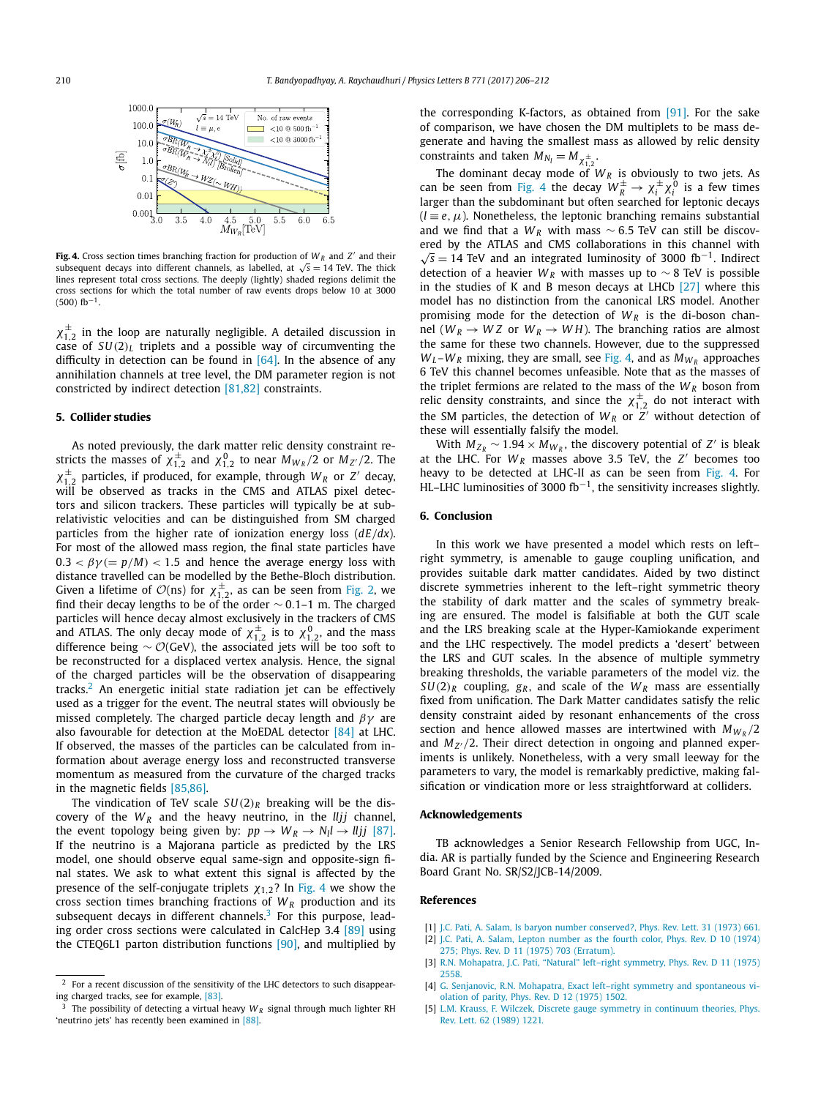<span id="page-4-0"></span>

**Fig. 4.** Cross section times branching fraction for production of  $W_R$  and  $Z'$  and their subsequent decays into different channels, as labelled, at  $\sqrt{s} = 14$  TeV. The thick lines represent total cross sections. The deeply (lightly) shaded regions delimit the cross sections for which the total number of raw events drops below 10 at 3000  $(500)$  fb<sup>-1</sup>.

 $\chi_{1,2}^{\pm}$  in the loop are naturally negligible. A detailed discussion in case of *SU(*2*)<sup>L</sup>* triplets and a possible way of circumventing the difficulty in detection can be found in  $[64]$ . In the absence of any annihilation channels at tree level, the DM parameter region is not constricted by indirect detection [\[81,82\]](#page-6-0) constraints.

#### **5. Collider studies**

As noted previously, the dark matter relic density constraint restricts the masses of  $\chi_{1,2}^{\pm}$  and  $\chi_{1,2}^{0}$  to near  $M_{W_R}/2$  or  $M_{Z'}/2$ . The  $\chi_{1,2}^{\pm}$  particles, if produced, for example, through *W<sub>R</sub>* or *Z'* decay, will be observed as tracks in the CMS and ATLAS pixel detectors and silicon trackers. These particles will typically be at subrelativistic velocities and can be distinguished from SM charged particles from the higher rate of ionization energy loss (*dE/dx*). For most of the allowed mass region, the final state particles have  $0.3 < \beta \gamma (= p/M) < 1.5$  and hence the average energy loss with distance travelled can be modelled by the Bethe-Bloch distribution. Given a lifetime of  $\mathcal{O}(ns)$  for  $\chi_{1,2}^{\pm}$ , as can be seen from [Fig. 2,](#page-3-0) we find their decay lengths to be of the order ∼ 0*.*1–1 m. The charged particles will hence decay almost exclusively in the trackers of CMS and ATLAS. The only decay mode of  $\chi_{1,2}^{\pm}$  is to  $\chi_{1,2}^{0}$ , and the mass difference being  $\sim \mathcal{O}(\text{GeV})$ , the associated jets will be too soft to be reconstructed for a displaced vertex analysis. Hence, the signal of the charged particles will be the observation of disappearing tracks.<sup>2</sup> An energetic initial state radiation jet can be effectively used as a trigger for the event. The neutral states will obviously be missed completely. The charged particle decay length and *βγ* are also favourable for detection at the MoEDAL detector [\[84\]](#page-6-0) at LHC. If observed, the masses of the particles can be calculated from information about average energy loss and reconstructed transverse momentum as measured from the curvature of the charged tracks in the magnetic fields [\[85,86\].](#page-6-0)

The vindication of TeV scale  $SU(2)_R$  breaking will be the discovery of the  $W_R$  and the heavy neutrino, in the *lljj* channel, the event topology being given by:  $pp \rightarrow W_R \rightarrow N_l l \rightarrow lljj$  [\[87\].](#page-6-0) If the neutrino is a Majorana particle as predicted by the LRS model, one should observe equal same-sign and opposite-sign final states. We ask to what extent this signal is affected by the presence of the self-conjugate triplets  $\chi_{1,2}$ ? In Fig. 4 we show the cross section times branching fractions of *WR* production and its subsequent decays in different channels. $3$  For this purpose, leading order cross sections were calculated in CalcHep 3.4 [\[89\]](#page-6-0) using the CTEQ6L1 parton distribution functions [\[90\],](#page-6-0) and multiplied by the corresponding K-factors, as obtained from [\[91\].](#page-6-0) For the sake of comparison, we have chosen the DM multiplets to be mass degenerate and having the smallest mass as allowed by relic density constraints and taken  $M_{N_l} = M_{\chi_{1,2}^{\pm}}$ .

The dominant decay mode of  $W_R$  is obviously to two jets. As can be seen from Fig. 4 the decay  $W_R^{\pm} \rightarrow \chi_i^{\pm} \chi_i^0$  is a few times larger than the subdominant but often searched for leptonic decays  $(l \equiv e, \mu)$ . Nonetheless, the leptonic branching remains substantial and we find that a *WR* with mass ∼ 6*.*5 TeV can still be discovered by the ATLAS and CMS collaborations in this channel with  $\sqrt{s}$  = 14 TeV and an integrated luminosity of 3000 fb<sup>-1</sup>. Indirect detection of a heavier  $W_R$  with masses up to  $\sim$  8 TeV is possible in the studies of K and B meson decays at LHCb [\[27\]](#page-5-0) where this model has no distinction from the canonical LRS model. Another promising mode for the detection of  $W_R$  is the di-boson channel ( $W_R \rightarrow WZ$  or  $W_R \rightarrow WH$ ). The branching ratios are almost the same for these two channels. However, due to the suppressed  $W_L$ – $W_R$  mixing, they are small, see Fig. 4, and as  $M_{W_R}$  approaches 6 TeV this channel becomes unfeasible. Note that as the masses of the triplet fermions are related to the mass of the  $W_R$  boson from relic density constraints, and since the  $\chi_{1,2}^{\pm}$  do not interact with the SM particles, the detection of  $W_R$  or  $Z'$  without detection of these will essentially falsify the model.

With  $M_{Z_R} \sim 1.94 \times M_{W_R}$ , the discovery potential of *Z'* is bleak at the LHC. For  $W_R$  masses above 3.5 TeV, the  $Z'$  becomes too heavy to be detected at LHC-II as can be seen from Fig. 4. For HL–LHC luminosities of 3000 fb<sup>-1</sup>, the sensitivity increases slightly.

#### **6. Conclusion**

In this work we have presented a model which rests on left– right symmetry, is amenable to gauge coupling unification, and provides suitable dark matter candidates. Aided by two distinct discrete symmetries inherent to the left–right symmetric theory the stability of dark matter and the scales of symmetry breaking are ensured. The model is falsifiable at both the GUT scale and the LRS breaking scale at the Hyper-Kamiokande experiment and the LHC respectively. The model predicts a 'desert' between the LRS and GUT scales. In the absence of multiple symmetry breaking thresholds, the variable parameters of the model viz. the  $SU(2)_R$  coupling,  $g_R$ , and scale of the  $W_R$  mass are essentially fixed from unification. The Dark Matter candidates satisfy the relic density constraint aided by resonant enhancements of the cross section and hence allowed masses are intertwined with  $M_{W_R}/2$ and  $M_{Z'}/2$ . Their direct detection in ongoing and planned experiments is unlikely. Nonetheless, with a very small leeway for the parameters to vary, the model is remarkably predictive, making falsification or vindication more or less straightforward at colliders.

#### **Acknowledgements**

TB acknowledges a Senior Research Fellowship from UGC, India. AR is partially funded by the Science and Engineering Research Board Grant No. SR/S2/JCB-14/2009.

#### **References**

- [1] J.C. Pati, A. Salam, Is baryon number [conserved?,](http://refhub.elsevier.com/S0370-2693(17)30405-7/bib6C727331s1) Phys. Rev. Lett. 31 (1973) 661.
- [2] J.C. Pati, A. Salam, Lepton [number](http://refhub.elsevier.com/S0370-2693(17)30405-7/bib6C727332s1) as the fourth color, Phys. Rev. D 10 (1974) 275; Phys. Rev. D 11 (1975) 703 [\(Erratum\).](http://refhub.elsevier.com/S0370-2693(17)30405-7/bib6C727332s1)
- [3] R.N. [Mohapatra,](http://refhub.elsevier.com/S0370-2693(17)30405-7/bib6C727333s1) J.C. Pati, "Natural" left–right symmetry, Phys. Rev. D 11 (1975) [2558.](http://refhub.elsevier.com/S0370-2693(17)30405-7/bib6C727333s1)
- [4] G. Senjanovic, R.N. Mohapatra, Exact left–right symmetry and [spontaneous](http://refhub.elsevier.com/S0370-2693(17)30405-7/bib6C727334s1) vi[olation](http://refhub.elsevier.com/S0370-2693(17)30405-7/bib6C727334s1) of parity, Phys. Rev. D 12 (1975) 1502.
- [5] L.M. Krauss, F. Wilczek, Discrete gauge symmetry in [continuum](http://refhub.elsevier.com/S0370-2693(17)30405-7/bib6469736331s1) theories, Phys. Rev. Lett. 62 [\(1989\)](http://refhub.elsevier.com/S0370-2693(17)30405-7/bib6469736331s1) 1221.

<sup>2</sup> For a recent discussion of the sensitivity of the LHC detectors to such disappearing charged tracks, see for example, [\[83\].](#page-6-0)

The possibility of detecting a virtual heavy  $W_R$  signal through much lighter RH 'neutrino jets' has recently been examined in [\[88\].](#page-6-0)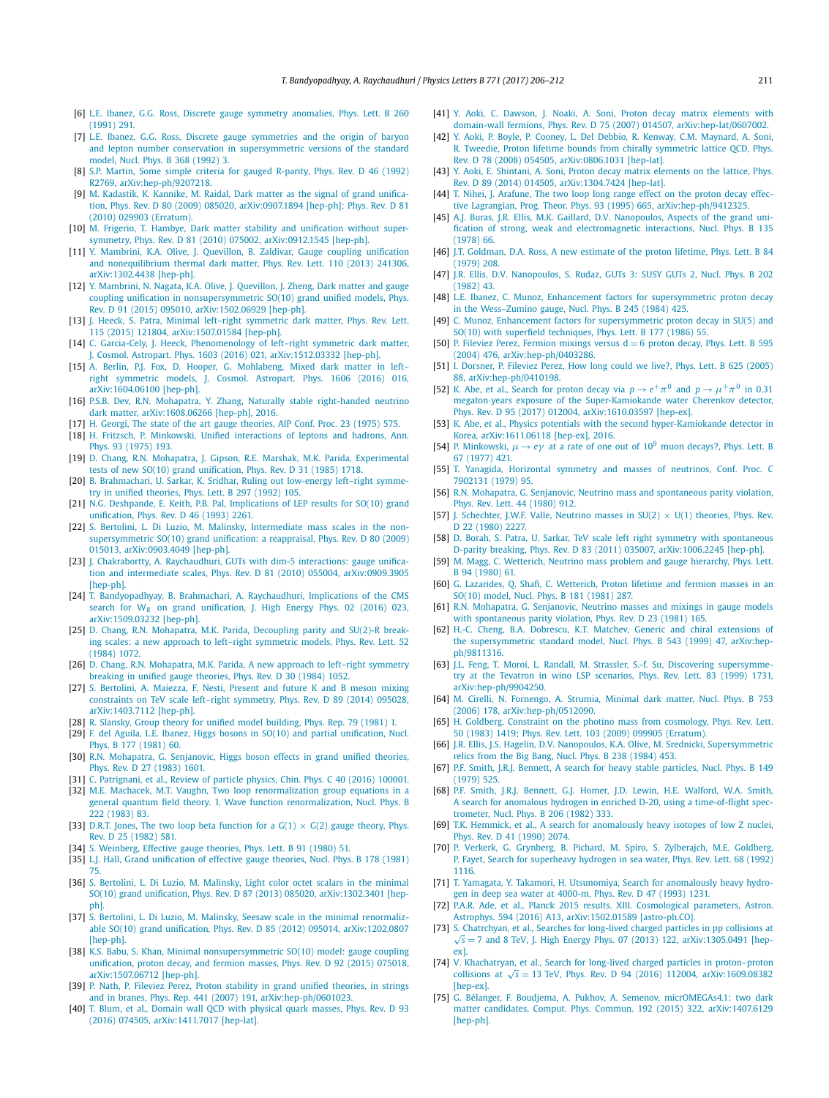- <span id="page-5-0"></span>[6] L.E. Ibanez, G.G. Ross, Discrete gauge symmetry [anomalies,](http://refhub.elsevier.com/S0370-2693(17)30405-7/bib6469736332s1) Phys. Lett. B 260 [\(1991\)](http://refhub.elsevier.com/S0370-2693(17)30405-7/bib6469736332s1) 291.
- [7] L.E. Ibanez, G.G. Ross, Discrete gauge [symmetries](http://refhub.elsevier.com/S0370-2693(17)30405-7/bib6469736333s1) and the origin of baryon and lepton number conservation in [supersymmetric](http://refhub.elsevier.com/S0370-2693(17)30405-7/bib6469736333s1) versions of the standard [model,](http://refhub.elsevier.com/S0370-2693(17)30405-7/bib6469736333s1) Nucl. Phys. B 368 (1992) 3.
- [8] S.P. Martin, Some simple criteria for gauged [R-parity,](http://refhub.elsevier.com/S0370-2693(17)30405-7/bib6469736334s1) Phys. Rev. D 46 (1992) R2769, [arXiv:hep-ph/9207218.](http://refhub.elsevier.com/S0370-2693(17)30405-7/bib6469736334s1)
- [9] M. [Kadastik,](http://refhub.elsevier.com/S0370-2693(17)30405-7/bib6469736335s1) K. Kannike, M. Raidal, Dark matter as the signal of grand unification, Phys. Rev. D 80 (2009) 085020, [arXiv:0907.1894](http://refhub.elsevier.com/S0370-2693(17)30405-7/bib6469736335s1) [hep-ph]; Phys. Rev. D 81 (2010) 029903 [\(Erratum\).](http://refhub.elsevier.com/S0370-2693(17)30405-7/bib6469736335s1)
- [10] M. Frigerio, T. Hambye, Dark matter stability and [unification](http://refhub.elsevier.com/S0370-2693(17)30405-7/bib6469736337s1) without supersymmetry, Phys. Rev. D 81 (2010) 075002, [arXiv:0912.1545](http://refhub.elsevier.com/S0370-2693(17)30405-7/bib6469736337s1) [hep-ph].
- [11] Y. Mambrini, K.A. Olive, J. Quevillon, B. Zaldivar, Gauge coupling [unification](http://refhub.elsevier.com/S0370-2693(17)30405-7/bib6E6574646D31s1) and [nonequilibrium](http://refhub.elsevier.com/S0370-2693(17)30405-7/bib6E6574646D31s1) thermal dark matter, Phys. Rev. Lett. 110 (2013) 241306, [arXiv:1302.4438](http://refhub.elsevier.com/S0370-2693(17)30405-7/bib6E6574646D31s1) [hep-ph].
- [12] Y. [Mambrini,](http://refhub.elsevier.com/S0370-2693(17)30405-7/bib6E6574646D32s1) N. Nagata, K.A. Olive, J. Quevillon, J. Zheng, Dark matter and gauge coupling unification in [nonsupersymmetric](http://refhub.elsevier.com/S0370-2693(17)30405-7/bib6E6574646D32s1) SO(10) grand unified models, Phys. Rev. D 91 (2015) 095010, [arXiv:1502.06929](http://refhub.elsevier.com/S0370-2693(17)30405-7/bib6E6574646D32s1) [hep-ph].
- [13] J. Heeck, S. Patra, Minimal left–right [symmetric](http://refhub.elsevier.com/S0370-2693(17)30405-7/bib646D6C727333s1) dark matter, Phys. Rev. Lett. 115 (2015) 121804, [arXiv:1507.01584](http://refhub.elsevier.com/S0370-2693(17)30405-7/bib646D6C727333s1) [hep-ph].
- [14] C. Garcia-Cely, J. Heeck, [Phenomenology](http://refhub.elsevier.com/S0370-2693(17)30405-7/bib646D6C727334s1) of left-right symmetric dark matter, J. Cosmol. Astropart. Phys. 1603 (2016) 021, [arXiv:1512.03332](http://refhub.elsevier.com/S0370-2693(17)30405-7/bib646D6C727334s1) [hep-ph].
- [15] A. Berlin, P.J. Fox, D. Hooper, G. [Mohlabeng,](http://refhub.elsevier.com/S0370-2693(17)30405-7/bib646D6C72733131s1) Mixed dark matter in leftright symmetric models, [J. Cosmol.](http://refhub.elsevier.com/S0370-2693(17)30405-7/bib646D6C72733131s1) Astropart. Phys. 1606 (2016) 016, [arXiv:1604.06100](http://refhub.elsevier.com/S0370-2693(17)30405-7/bib646D6C72733131s1) [hep-ph].
- [16] P.S.B. Dev, R.N. Mohapatra, Y. Zhang, Naturally stable [right-handed](http://refhub.elsevier.com/S0370-2693(17)30405-7/bib646D6C727337s1) neutrino dark matter, [arXiv:1608.06266](http://refhub.elsevier.com/S0370-2693(17)30405-7/bib646D6C727337s1) [hep-ph], 2016.
- [17] H. Georgi, The state of the art gauge [theories,](http://refhub.elsevier.com/S0370-2693(17)30405-7/bib736F313031s1) AIP Conf. Proc. 23 (1975) 575.
- [18] H. Fritzsch, P. Minkowski, Unified [interactions](http://refhub.elsevier.com/S0370-2693(17)30405-7/bib736F313032s1) of leptons and hadrons, Ann. Phys. 93 [\(1975\)](http://refhub.elsevier.com/S0370-2693(17)30405-7/bib736F313032s1) 193.
- [19] D. Chang, R.N. Mohapatra, J. Gipson, R.E. Marshak, M.K. Parida, [Experimental](http://refhub.elsevier.com/S0370-2693(17)30405-7/bib3561757468s1) tests of new SO(10) grand [unification,](http://refhub.elsevier.com/S0370-2693(17)30405-7/bib3561757468s1) Phys. Rev. D 31 (1985) 1718.
- [20] B. [Brahmachari,](http://refhub.elsevier.com/S0370-2693(17)30405-7/bib72756E6C727332s1) U. Sarkar, K. Sridhar, Ruling out low-energy left–right symmetry in unified [theories,](http://refhub.elsevier.com/S0370-2693(17)30405-7/bib72756E6C727332s1) Phys. Lett. B 297 (1992) 105.
- [21] N.G. Deshpande, E. Keith, P.B. Pal, [Implications](http://refhub.elsevier.com/S0370-2693(17)30405-7/bib72756E6C727331s1) of LEP results for SO(10) grand [unification,](http://refhub.elsevier.com/S0370-2693(17)30405-7/bib72756E6C727331s1) Phys. Rev. D 46 (1993) 2261.
- [22] S. Bertolini, L. Di Luzio, M. Malinsky, [Intermediate](http://refhub.elsevier.com/S0370-2693(17)30405-7/bib72756E6C727333s1) mass scales in the non[supersymmetric](http://refhub.elsevier.com/S0370-2693(17)30405-7/bib72756E6C727333s1) SO(10) grand unification: a reappraisal, Phys. Rev. D 80 (2009) 015013, [arXiv:0903.4049](http://refhub.elsevier.com/S0370-2693(17)30405-7/bib72756E6C727333s1) [hep-ph].
- [23] J. Chakrabortty, A. [Raychaudhuri,](http://refhub.elsevier.com/S0370-2693(17)30405-7/bib6A6461726331s1) GUTs with dim-5 interactions: gauge unification and intermediate scales, Phys. Rev. D 81 (2010) 055004, [arXiv:0909.3905](http://refhub.elsevier.com/S0370-2693(17)30405-7/bib6A6461726331s1) [\[hep-ph\].](http://refhub.elsevier.com/S0370-2693(17)30405-7/bib6A6461726331s1)
- [24] T. [Bandyopadhyay,](http://refhub.elsevier.com/S0370-2693(17)30405-7/bib72756E6C727334s1) B. Brahmachari, A. Raychaudhuri, Implications of the CMS search for W*<sup>R</sup>* on grand [unification,](http://refhub.elsevier.com/S0370-2693(17)30405-7/bib72756E6C727334s1) J. High Energy Phys. 02 (2016) 023, [arXiv:1509.03232](http://refhub.elsevier.com/S0370-2693(17)30405-7/bib72756E6C727334s1) [hep-ph].
- [25] D. Chang, R.N. [Mohapatra,](http://refhub.elsevier.com/S0370-2693(17)30405-7/bib647031s1) M.K. Parida, Decoupling parity and SU(2)-R breaking scales: a new approach to left–right [symmetric](http://refhub.elsevier.com/S0370-2693(17)30405-7/bib647031s1) models, Phys. Rev. Lett. 52 [\(1984\)](http://refhub.elsevier.com/S0370-2693(17)30405-7/bib647031s1) 1072.
- [26] D. Chang, R.N. [Mohapatra,](http://refhub.elsevier.com/S0370-2693(17)30405-7/bib647032s1) M.K. Parida, A new approach to left–right symmetry [breaking](http://refhub.elsevier.com/S0370-2693(17)30405-7/bib647032s1) in unified gauge theories, Phys. Rev. D 30 (1984) 1052.
- [27] S. [Bertolini,](http://refhub.elsevier.com/S0370-2693(17)30405-7/bib62646231s1) A. Maiezza, F. Nesti, Present and future K and B meson mixing [constraints](http://refhub.elsevier.com/S0370-2693(17)30405-7/bib62646231s1) on TeV scale left–right symmetry, Phys. Rev. D 89 (2014) 095028, [arXiv:1403.7112](http://refhub.elsevier.com/S0370-2693(17)30405-7/bib62646231s1) [hep-ph].
- [28] R. Slansky, Group theory for unified model [building,](http://refhub.elsevier.com/S0370-2693(17)30405-7/bib736C6Es1) Phys. Rep. 79 (1981) 1.
- [29] F. del Aguila, L.E. Ibanez, Higgs bosons in SO(10) and partial [unification,](http://refhub.elsevier.com/S0370-2693(17)30405-7/bib65736831s1) Nucl. Phys. B 177 [\(1981\)](http://refhub.elsevier.com/S0370-2693(17)30405-7/bib65736831s1) 60.
- [30] R.N. [Mohapatra,](http://refhub.elsevier.com/S0370-2693(17)30405-7/bib65736832s1) G. Senjanovic, Higgs boson effects in grand unified theories, Phys. Rev. D 27 [\(1983\)](http://refhub.elsevier.com/S0370-2693(17)30405-7/bib65736832s1) 1601.
- [31] C. [Patrignani,](http://refhub.elsevier.com/S0370-2693(17)30405-7/bib727070s1) et al., Review of particle physics, Chin. Phys. C 40 (2016) 100001.
- [32] M.E. Machacek, M.T. Vaughn, Two loop [renormalization](http://refhub.elsevier.com/S0370-2693(17)30405-7/bib6D6376s1) group equations in a general quantum field theory. 1. Wave function [renormalization,](http://refhub.elsevier.com/S0370-2693(17)30405-7/bib6D6376s1) Nucl. Phys. B 222 [\(1983\)](http://refhub.elsevier.com/S0370-2693(17)30405-7/bib6D6376s1) 83.
- [33] D.R.T. Jones, The two loop beta [function](http://refhub.elsevier.com/S0370-2693(17)30405-7/bib6A6F6E6573s1) for a  $G(1) \times G(2)$  gauge theory, Phys. Rev. D 25 [\(1982\)](http://refhub.elsevier.com/S0370-2693(17)30405-7/bib6A6F6E6573s1) 581.
- [34] S. [Weinberg,](http://refhub.elsevier.com/S0370-2693(17)30405-7/bib74727331s1) Effective gauge theories, Phys. Lett. B 91 (1980) 51.
- [35] L.J. Hall, Grand [unification](http://refhub.elsevier.com/S0370-2693(17)30405-7/bib74727332s1) of effective gauge theories, Nucl. Phys. B 178 (1981) [75.](http://refhub.elsevier.com/S0370-2693(17)30405-7/bib74727332s1)
- [36] S. Bertolini, L. Di Luzio, M. [Malinsky,](http://refhub.elsevier.com/S0370-2693(17)30405-7/bib706432s1) Light color octet scalars in the minimal SO(10) grand unification, Phys. Rev. D 87 (2013) 085020, [arXiv:1302.3401](http://refhub.elsevier.com/S0370-2693(17)30405-7/bib706432s1) [hep[ph\].](http://refhub.elsevier.com/S0370-2693(17)30405-7/bib706432s1)
- [37] S. Bertolini, L. Di Luzio, M. Malinsky, Seesaw scale in the minimal [renormaliz](http://refhub.elsevier.com/S0370-2693(17)30405-7/bib706433s1)able SO(10) grand unification, Phys. Rev. D 85 (2012) 095014, [arXiv:1202.0807](http://refhub.elsevier.com/S0370-2693(17)30405-7/bib706433s1) [\[hep-ph\].](http://refhub.elsevier.com/S0370-2693(17)30405-7/bib706433s1)
- [38] K.S. Babu, S. Khan, Minimal [nonsupersymmetric](http://refhub.elsevier.com/S0370-2693(17)30405-7/bib706434s1) SO(10) model: gauge coupling [unification,](http://refhub.elsevier.com/S0370-2693(17)30405-7/bib706434s1) proton decay, and fermion masses, Phys. Rev. D 92 (2015) 075018, [arXiv:1507.06712](http://refhub.elsevier.com/S0370-2693(17)30405-7/bib706434s1) [hep-ph].
- [39] P. Nath, P. Fileviez Perez, Proton stability in grand unified [theories,](http://refhub.elsevier.com/S0370-2693(17)30405-7/bib706431s1) in strings and in branes, Phys. Rep. 441 (2007) 191, [arXiv:hep-ph/0601023.](http://refhub.elsevier.com/S0370-2693(17)30405-7/bib706431s1)
- [40] T. Blum, et al., Domain wall QCD with [physical](http://refhub.elsevier.com/S0370-2693(17)30405-7/bib706463s1) quark masses, Phys. Rev. D 93 (2016) 074505, [arXiv:1411.7017](http://refhub.elsevier.com/S0370-2693(17)30405-7/bib706463s1) [hep-lat].
- [41] Y. Aoki, C. Dawson, J. Noaki, A. Soni, Proton decay matrix [elements](http://refhub.elsevier.com/S0370-2693(17)30405-7/bib617331s1) with domain-wall fermions, Phys. Rev. D 75 (2007) 014507, [arXiv:hep-lat/0607002.](http://refhub.elsevier.com/S0370-2693(17)30405-7/bib617331s1)
- [42] Y. Aoki, P. Boyle, P. Cooney, L. Del Debbio, R. Kenway, C.M. [Maynard,](http://refhub.elsevier.com/S0370-2693(17)30405-7/bib617332s1) A. Soni, R. Tweedie, Proton lifetime bounds from chirally [symmetric](http://refhub.elsevier.com/S0370-2693(17)30405-7/bib617332s1) lattice QCD, Phys. Rev. D 78 (2008) 054505, [arXiv:0806.1031](http://refhub.elsevier.com/S0370-2693(17)30405-7/bib617332s1) [hep-lat].
- [43] Y. Aoki, E. Shintani, A. Soni, Proton decay matrix [elements](http://refhub.elsevier.com/S0370-2693(17)30405-7/bib617333s1) on the lattice, Phys. Rev. D 89 (2014) 014505, [arXiv:1304.7424](http://refhub.elsevier.com/S0370-2693(17)30405-7/bib617333s1) [hep-lat].
- [44] T. Nihei, J. [Arafune,](http://refhub.elsevier.com/S0370-2693(17)30405-7/bib706472676Cs1) The two loop long range effect on the proton decay effective Lagrangian, Prog. Theor. Phys. 93 (1995) 665, [arXiv:hep-ph/9412325.](http://refhub.elsevier.com/S0370-2693(17)30405-7/bib706472676Cs1)
- [45] A.J. Buras, J.R. Ellis, M.K. Gaillard, D.V. [Nanopoulos,](http://refhub.elsevier.com/S0370-2693(17)30405-7/bib7064616C7331s1) Aspects of the grand unification of strong, weak and [electromagnetic](http://refhub.elsevier.com/S0370-2693(17)30405-7/bib7064616C7331s1) interactions, Nucl. Phys. B 135 [\(1978\)](http://refhub.elsevier.com/S0370-2693(17)30405-7/bib7064616C7331s1) 66.
- [46] J.T. [Goldman,](http://refhub.elsevier.com/S0370-2693(17)30405-7/bib7064616C7332s1) D.A. Ross, A new estimate of the proton lifetime, Phys. Lett. B 84 [\(1979\)](http://refhub.elsevier.com/S0370-2693(17)30405-7/bib7064616C7332s1) 208.
- [47] J.R. Ellis, D.V. [Nanopoulos,](http://refhub.elsevier.com/S0370-2693(17)30405-7/bib7064616C7333s1) S. Rudaz, GUTs 3: SUSY GUTs 2, Nucl. Phys. B 202 [\(1982\)](http://refhub.elsevier.com/S0370-2693(17)30405-7/bib7064616C7333s1) 43.
- [48] L.E. Ibanez, C. Munoz, Enhancement factors for [supersymmetric](http://refhub.elsevier.com/S0370-2693(17)30405-7/bib7064616C7334s1) proton decay in the [Wess–Zumino](http://refhub.elsevier.com/S0370-2693(17)30405-7/bib7064616C7334s1) gauge, Nucl. Phys. B 245 (1984) 425.
- [49] C. Munoz, Enhancement factors for [supersymmetric](http://refhub.elsevier.com/S0370-2693(17)30405-7/bib7064616C7335s1) proton decay in SU(5) and SO(10) with superfield [techniques,](http://refhub.elsevier.com/S0370-2693(17)30405-7/bib7064616C7335s1) Phys. Lett. B 177 (1986) 55.
- [50] P. Fileviez Perez, Fermion mixings versus  $d = 6$  proton decay, Phys. Lett. B 595 (2004) 476, [arXiv:hep-ph/0403286.](http://refhub.elsevier.com/S0370-2693(17)30405-7/bib706435s1)
- [51] I. [Dorsner,](http://refhub.elsevier.com/S0370-2693(17)30405-7/bib706436s1) P. Fileviez Perez, How long could we live?, Phys. Lett. B 625 (2005) 88, [arXiv:hep-ph/0410198.](http://refhub.elsevier.com/S0370-2693(17)30405-7/bib706436s1)
- [52] K. Abe, et al., Search for [proton](http://refhub.elsevier.com/S0370-2693(17)30405-7/bib736B6Bs1) decay via  $p \rightarrow e^+ \pi^0$  and  $p \rightarrow \mu^+ \pi^0$  in 0.31 megaton·years exposure of the [Super-Kamiokande](http://refhub.elsevier.com/S0370-2693(17)30405-7/bib736B6Bs1) water Cherenkov detector, Phys. Rev. D 95 (2017) 012004, [arXiv:1610.03597](http://refhub.elsevier.com/S0370-2693(17)30405-7/bib736B6Bs1) [hep-ex].
- [53] K. Abe, et al., Physics potentials with the second [hyper-Kamiokande](http://refhub.elsevier.com/S0370-2693(17)30405-7/bib686B6Bs1) detector in Korea, [arXiv:1611.06118](http://refhub.elsevier.com/S0370-2693(17)30405-7/bib686B6Bs1) [hep-ex], 2016.
- [54] P. [Minkowski,](http://refhub.elsevier.com/S0370-2693(17)30405-7/bib737331s1)  $\mu \rightarrow e\gamma$  at a rate of one out of  $10^9$  muon decays?, Phys. Lett. B 67 [\(1977\)](http://refhub.elsevier.com/S0370-2693(17)30405-7/bib737331s1) 421.
- [55] T. Yanagida, [Horizontal](http://refhub.elsevier.com/S0370-2693(17)30405-7/bib737332s1) symmetry and masses of neutrinos, Conf. Proc. C [7902131](http://refhub.elsevier.com/S0370-2693(17)30405-7/bib737332s1) (1979) 95.
- [56] R.N. Mohapatra, G. Senjanovic, Neutrino mass and [spontaneous](http://refhub.elsevier.com/S0370-2693(17)30405-7/bib737333s1) parity violation, Phys. Rev. Lett. 44 [\(1980\)](http://refhub.elsevier.com/S0370-2693(17)30405-7/bib737333s1) 912.
- [57] J. [Schechter,](http://refhub.elsevier.com/S0370-2693(17)30405-7/bib737334s1) J.W.F. Valle, Neutrino masses in SU(2)  $\times$  U(1) theories, Phys. Rev. D 22 [\(1980\)](http://refhub.elsevier.com/S0370-2693(17)30405-7/bib737334s1) 2227.
- [58] D. Borah, S. Patra, U. Sarkar, TeV scale left right symmetry with [spontaneous](http://refhub.elsevier.com/S0370-2693(17)30405-7/bib736F7365736133s1) D-parity breaking, Phys. Rev. D 83 (2011) 035007, [arXiv:1006.2245](http://refhub.elsevier.com/S0370-2693(17)30405-7/bib736F7365736133s1) [hep-ph].
- [59] M. Magg, C. [Wetterich,](http://refhub.elsevier.com/S0370-2693(17)30405-7/bib736F7365736131s1) Neutrino mass problem and gauge hierarchy, Phys. Lett. B 94 [\(1980\)](http://refhub.elsevier.com/S0370-2693(17)30405-7/bib736F7365736131s1) 61.
- [60] G. Lazarides, Q. Shafi, C. [Wetterich,](http://refhub.elsevier.com/S0370-2693(17)30405-7/bib736F6665726D617331s1) Proton lifetime and fermion masses in an SO(10) [model,](http://refhub.elsevier.com/S0370-2693(17)30405-7/bib736F6665726D617331s1) Nucl. Phys. B 181 (1981) 287.
- [61] R.N. [Mohapatra,](http://refhub.elsevier.com/S0370-2693(17)30405-7/bib736F7365736132s1) G. Senjanovic, Neutrino masses and mixings in gauge models with [spontaneous](http://refhub.elsevier.com/S0370-2693(17)30405-7/bib736F7365736132s1) parity violation, Phys. Rev. D 23 (1981) 165.
- [62] H.-C. Cheng, B.A. Dobrescu, K.T. Matchev, Generic and chiral [extensions](http://refhub.elsevier.com/S0370-2693(17)30405-7/bib6D737031s1) of the [supersymmetric](http://refhub.elsevier.com/S0370-2693(17)30405-7/bib6D737031s1) standard model, Nucl. Phys. B 543 (1999) 47, arXiv:hep[ph/9811316.](http://refhub.elsevier.com/S0370-2693(17)30405-7/bib6D737031s1)
- [63] J.L. Feng, T. Moroi, L. Randall, M. Strassler, S.-f. Su, Discovering [supersymme](http://refhub.elsevier.com/S0370-2693(17)30405-7/bib6D737032s1)try at the Tevatron in wino LSP [scenarios,](http://refhub.elsevier.com/S0370-2693(17)30405-7/bib6D737032s1) Phys. Rev. Lett. 83 (1999) 1731, [arXiv:hep-ph/9904250.](http://refhub.elsevier.com/S0370-2693(17)30405-7/bib6D737032s1)
- [64] M. Cirelli, N. [Fornengo,](http://refhub.elsevier.com/S0370-2693(17)30405-7/bib6D646D31s1) A. Strumia, Minimal dark matter, Nucl. Phys. B 753 (2006) 178, [arXiv:hep-ph/0512090.](http://refhub.elsevier.com/S0370-2693(17)30405-7/bib6D646D31s1)
- [65] H. Goldberg, Constraint on the photino mass from [cosmology,](http://refhub.elsevier.com/S0370-2693(17)30405-7/bib68767031s1) Phys. Rev. Lett. 50 (1983) 1419; Phys. Rev. Lett. 103 (2009) 099905 [\(Erratum\).](http://refhub.elsevier.com/S0370-2693(17)30405-7/bib68767031s1)
- [66] J.R. Ellis, J.S. Hagelin, D.V. Nanopoulos, K.A. Olive, M. Srednicki, [Supersymmetric](http://refhub.elsevier.com/S0370-2693(17)30405-7/bib68767032s1) relics from the Big Bang, Nucl. Phys. B 238 [\(1984\)](http://refhub.elsevier.com/S0370-2693(17)30405-7/bib68767032s1) 453.
- [67] P.F. Smith, J.R.J. Bennett, A search for heavy stable [particles,](http://refhub.elsevier.com/S0370-2693(17)30405-7/bib686831s1) Nucl. Phys. B 149 [\(1979\)](http://refhub.elsevier.com/S0370-2693(17)30405-7/bib686831s1) 525.
- [68] P.F. Smith, J.R.J. Bennett, G.J. Homer, J.D. Lewin, H.E. [Walford,](http://refhub.elsevier.com/S0370-2693(17)30405-7/bib686832s1) W.A. Smith, A search for anomalous hydrogen in enriched D-20, using a [time-of-flight](http://refhub.elsevier.com/S0370-2693(17)30405-7/bib686832s1) spec[trometer,](http://refhub.elsevier.com/S0370-2693(17)30405-7/bib686832s1) Nucl. Phys. B 206 (1982) 333.
- [69] T.K. Hemmick, et al., A search for [anomalously](http://refhub.elsevier.com/S0370-2693(17)30405-7/bib686833s1) heavy isotopes of low Z nuclei, Phys. Rev. D 41 [\(1990\)](http://refhub.elsevier.com/S0370-2693(17)30405-7/bib686833s1) 2074.
- [70] P. Verkerk, G. Grynberg, B. Pichard, M. Spiro, S. [Zylberajch,](http://refhub.elsevier.com/S0370-2693(17)30405-7/bib686834s1) M.E. Goldberg, P. Fayet, Search for [superheavy](http://refhub.elsevier.com/S0370-2693(17)30405-7/bib686834s1) hydrogen in sea water, Phys. Rev. Lett. 68 (1992) [1116.](http://refhub.elsevier.com/S0370-2693(17)30405-7/bib686834s1)
- [71] T. Yamagata, Y. Takamori, H. Utsunomiya, Search for [anomalously](http://refhub.elsevier.com/S0370-2693(17)30405-7/bib686835s1) heavy hydrogen in deep sea water at [4000-m,](http://refhub.elsevier.com/S0370-2693(17)30405-7/bib686835s1) Phys. Rev. D 47 (1993) 1231.
- [72] P.A.R. Ade, et al., Planck 2015 results. XIII. [Cosmological](http://refhub.elsevier.com/S0370-2693(17)30405-7/bib646D706C616E636Bs1) parameters, Astron. Astrophys. 594 (2016) A13, [arXiv:1502.01589](http://refhub.elsevier.com/S0370-2693(17)30405-7/bib646D706C616E636Bs1) [astro-ph.CO].
- [73] [S.](http://refhub.elsevier.com/S0370-2693(17)30405-7/bib68737031s1) Chatrchyan, et al., Searches for long-lived charged particles in pp collisions at [√](http://refhub.elsevier.com/S0370-2693(17)30405-7/bib68737031s1)*<sup>s</sup>* <sup>=</sup> 7 and 8 TeV, J. High Energy Phys. <sup>07</sup> (2013) 122, arXiv:1305.0491 [hep[ex\].](http://refhub.elsevier.com/S0370-2693(17)30405-7/bib68737031s1)
- [74] V. Khachatryan, et al., Search for long-lived charged particles in [proton–proton](http://refhub.elsevier.com/S0370-2693(17)30405-7/bib68737032s1) collisions at  $\sqrt{s}$  = 13 TeV, Phys. Rev. D 94 (2016) 112004, [arXiv:1609.08382](http://refhub.elsevier.com/S0370-2693(17)30405-7/bib68737032s1) [\[hep-ex\].](http://refhub.elsevier.com/S0370-2693(17)30405-7/bib68737032s1)
- [75] G. Bélanger, F. Boudjema, A. Pukhov, A. Semenov, [micrOMEGAs4.1:](http://refhub.elsevier.com/S0370-2693(17)30405-7/bib6D6963726F6D65676173s1) two dark matter candidates, Comput. Phys. Commun. 192 (2015) 322, [arXiv:1407.6129](http://refhub.elsevier.com/S0370-2693(17)30405-7/bib6D6963726F6D65676173s1) [\[hep-ph\].](http://refhub.elsevier.com/S0370-2693(17)30405-7/bib6D6963726F6D65676173s1)